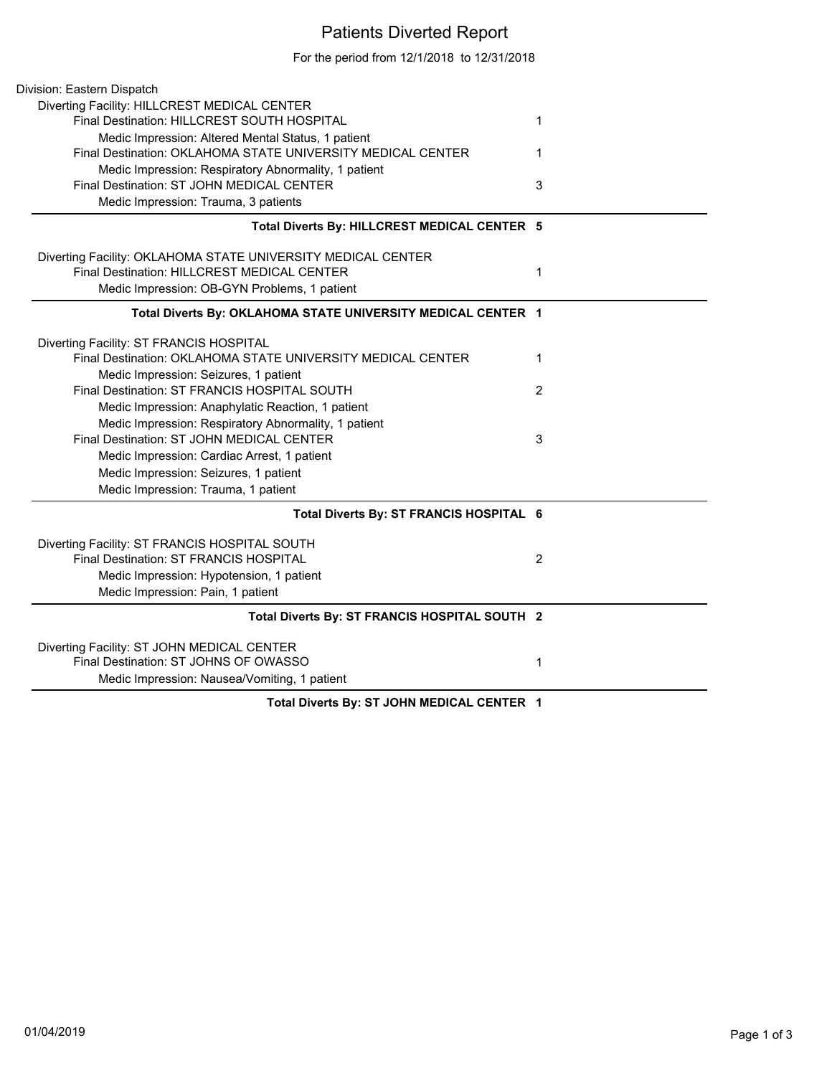## Patients Diverted Report

For the period from 12/1/2018 to 12/31/2018

| Division: Eastern Dispatch                                                                                  |                |
|-------------------------------------------------------------------------------------------------------------|----------------|
| Diverting Facility: HILLCREST MEDICAL CENTER                                                                |                |
| Final Destination: HILLCREST SOUTH HOSPITAL                                                                 | 1              |
| Medic Impression: Altered Mental Status, 1 patient                                                          |                |
| Final Destination: OKLAHOMA STATE UNIVERSITY MEDICAL CENTER                                                 | 1              |
| Medic Impression: Respiratory Abnormality, 1 patient                                                        |                |
| Final Destination: ST JOHN MEDICAL CENTER                                                                   | 3              |
| Medic Impression: Trauma, 3 patients                                                                        |                |
| Total Diverts By: HILLCREST MEDICAL CENTER 5                                                                |                |
|                                                                                                             |                |
| Diverting Facility: OKLAHOMA STATE UNIVERSITY MEDICAL CENTER<br>Final Destination: HILLCREST MEDICAL CENTER |                |
|                                                                                                             | 1              |
| Medic Impression: OB-GYN Problems, 1 patient                                                                |                |
| Total Diverts By: OKLAHOMA STATE UNIVERSITY MEDICAL CENTER 1                                                |                |
| Diverting Facility: ST FRANCIS HOSPITAL                                                                     |                |
| Final Destination: OKLAHOMA STATE UNIVERSITY MEDICAL CENTER                                                 | $\mathbf{1}$   |
| Medic Impression: Seizures, 1 patient                                                                       |                |
| Final Destination: ST FRANCIS HOSPITAL SOUTH                                                                | 2              |
| Medic Impression: Anaphylatic Reaction, 1 patient                                                           |                |
| Medic Impression: Respiratory Abnormality, 1 patient                                                        |                |
| Final Destination: ST JOHN MEDICAL CENTER                                                                   | 3              |
| Medic Impression: Cardiac Arrest, 1 patient                                                                 |                |
| Medic Impression: Seizures, 1 patient                                                                       |                |
| Medic Impression: Trauma, 1 patient                                                                         |                |
| Total Diverts By: ST FRANCIS HOSPITAL 6                                                                     |                |
|                                                                                                             |                |
| Diverting Facility: ST FRANCIS HOSPITAL SOUTH<br>Final Destination: ST FRANCIS HOSPITAL                     | $\overline{2}$ |
|                                                                                                             |                |
| Medic Impression: Hypotension, 1 patient                                                                    |                |
| Medic Impression: Pain, 1 patient                                                                           |                |
| Total Diverts By: ST FRANCIS HOSPITAL SOUTH 2                                                               |                |
| Diverting Facility: ST JOHN MEDICAL CENTER                                                                  |                |
| Final Destination: ST JOHNS OF OWASSO                                                                       | 1              |
| Medic Impression: Nausea/Vomiting, 1 patient                                                                |                |
| Total Diverts By: ST JOHN MEDICAL CENTER 1                                                                  |                |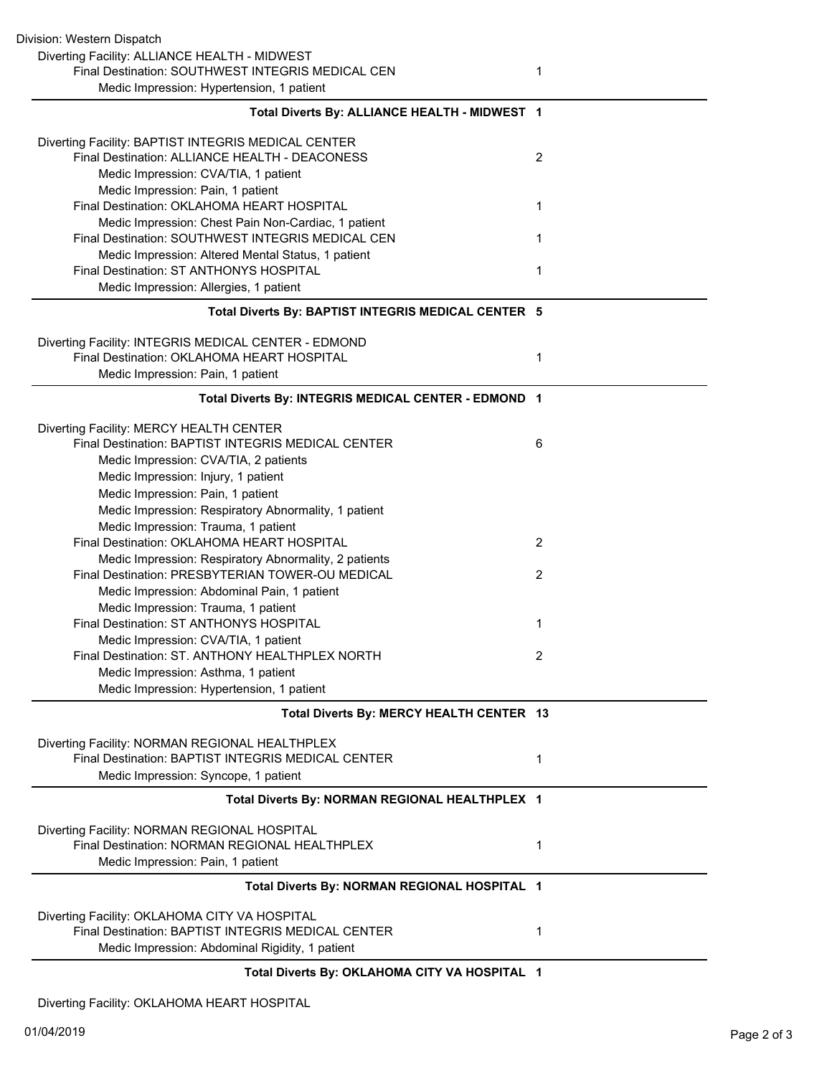| Division: Western Dispatch                                                                         |                |
|----------------------------------------------------------------------------------------------------|----------------|
| Diverting Facility: ALLIANCE HEALTH - MIDWEST                                                      |                |
| Final Destination: SOUTHWEST INTEGRIS MEDICAL CEN                                                  | 1              |
| Medic Impression: Hypertension, 1 patient                                                          |                |
| Total Diverts By: ALLIANCE HEALTH - MIDWEST 1                                                      |                |
| Diverting Facility: BAPTIST INTEGRIS MEDICAL CENTER                                                |                |
| Final Destination: ALLIANCE HEALTH - DEACONESS                                                     | $\overline{2}$ |
| Medic Impression: CVA/TIA, 1 patient                                                               |                |
| Medic Impression: Pain, 1 patient                                                                  |                |
| Final Destination: OKLAHOMA HEART HOSPITAL                                                         | 1              |
| Medic Impression: Chest Pain Non-Cardiac, 1 patient                                                |                |
| Final Destination: SOUTHWEST INTEGRIS MEDICAL CEN                                                  | 1              |
| Medic Impression: Altered Mental Status, 1 patient                                                 |                |
| Final Destination: ST ANTHONYS HOSPITAL                                                            | 1              |
| Medic Impression: Allergies, 1 patient                                                             |                |
| Total Diverts By: BAPTIST INTEGRIS MEDICAL CENTER 5                                                |                |
|                                                                                                    |                |
| Diverting Facility: INTEGRIS MEDICAL CENTER - EDMOND<br>Final Destination: OKLAHOMA HEART HOSPITAL | 1              |
|                                                                                                    |                |
| Medic Impression: Pain, 1 patient                                                                  |                |
| Total Diverts By: INTEGRIS MEDICAL CENTER - EDMOND 1                                               |                |
| Diverting Facility: MERCY HEALTH CENTER                                                            |                |
| Final Destination: BAPTIST INTEGRIS MEDICAL CENTER                                                 | 6              |
| Medic Impression: CVA/TIA, 2 patients                                                              |                |
| Medic Impression: Injury, 1 patient                                                                |                |
| Medic Impression: Pain, 1 patient                                                                  |                |
| Medic Impression: Respiratory Abnormality, 1 patient                                               |                |
| Medic Impression: Trauma, 1 patient                                                                |                |
| Final Destination: OKLAHOMA HEART HOSPITAL                                                         | 2              |
| Medic Impression: Respiratory Abnormality, 2 patients                                              |                |
| Final Destination: PRESBYTERIAN TOWER-OU MEDICAL                                                   | $\overline{2}$ |
| Medic Impression: Abdominal Pain, 1 patient                                                        |                |
| Medic Impression: Trauma, 1 patient                                                                |                |
| Final Destination: ST ANTHONYS HOSPITAL                                                            | 1              |
| Medic Impression: CVA/TIA, 1 patient                                                               |                |
| Final Destination: ST. ANTHONY HEALTHPLEX NORTH                                                    | 2              |
| Medic Impression: Asthma, 1 patient                                                                |                |
| Medic Impression: Hypertension, 1 patient                                                          |                |
| Total Diverts By: MERCY HEALTH CENTER 13                                                           |                |
| Diverting Facility: NORMAN REGIONAL HEALTHPLEX                                                     |                |
| Final Destination: BAPTIST INTEGRIS MEDICAL CENTER                                                 | 1              |
| Medic Impression: Syncope, 1 patient                                                               |                |
| Total Diverts By: NORMAN REGIONAL HEALTHPLEX 1                                                     |                |
| Diverting Facility: NORMAN REGIONAL HOSPITAL                                                       |                |
| Final Destination: NORMAN REGIONAL HEALTHPLEX                                                      | 1              |
| Medic Impression: Pain, 1 patient                                                                  |                |
| Total Diverts By: NORMAN REGIONAL HOSPITAL 1                                                       |                |
| Diverting Facility: OKLAHOMA CITY VA HOSPITAL                                                      |                |
| Final Destination: BAPTIST INTEGRIS MEDICAL CENTER                                                 | 1              |
| Medic Impression: Abdominal Rigidity, 1 patient                                                    |                |
|                                                                                                    |                |
| Total Diverts By: OKLAHOMA CITY VA HOSPITAL 1                                                      |                |

Diverting Facility: OKLAHOMA HEART HOSPITAL